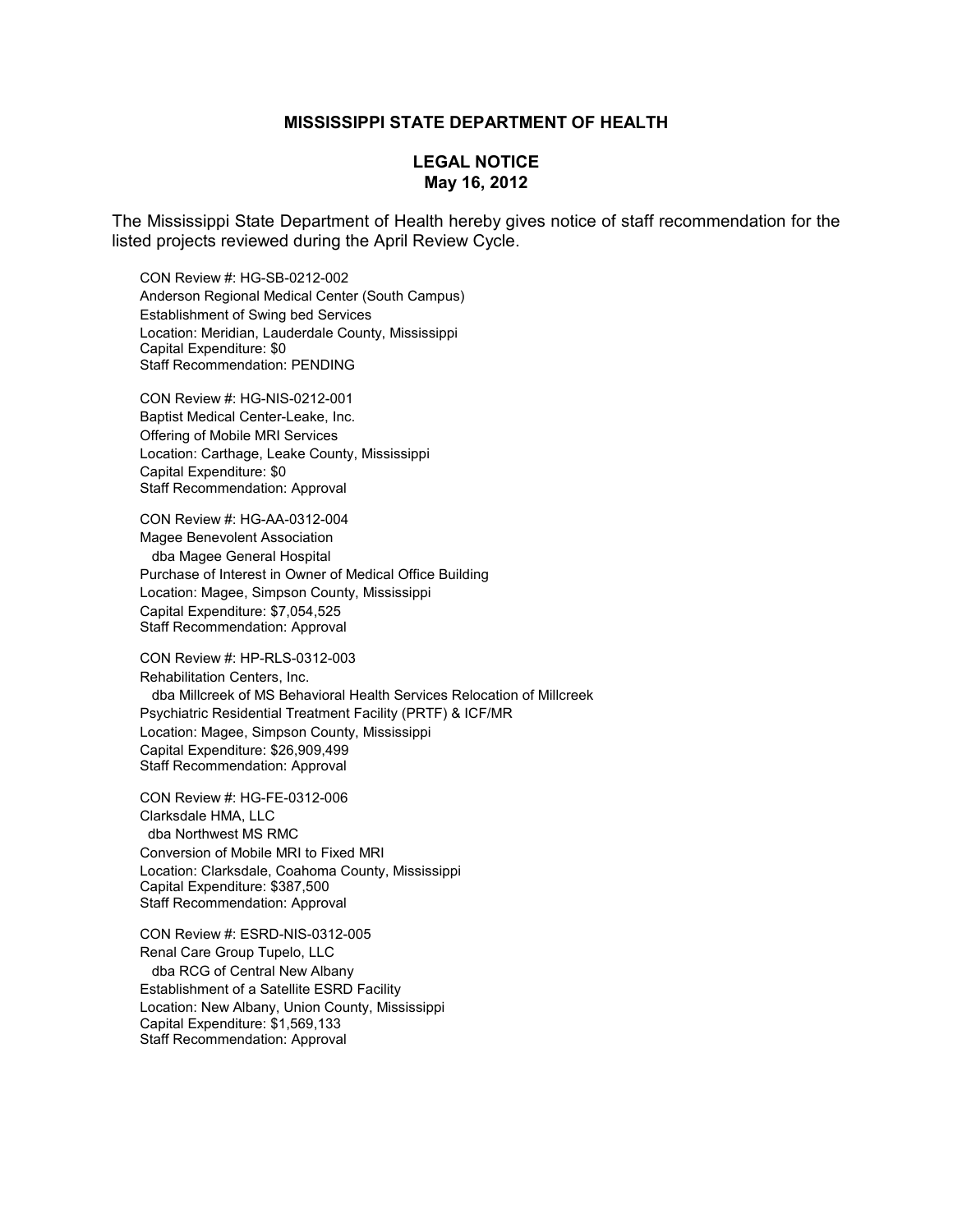## **MISSISSIPPI STATE DEPARTMENT OF HEALTH**

## **LEGAL NOTICE May 16, 2012**

The Mississippi State Department of Health hereby gives notice of staff recommendation for the listed projects reviewed during the April Review Cycle.

CON Review #: HG-SB-0212-002 Anderson Regional Medical Center (South Campus) Establishment of Swing bed Services Location: Meridian, Lauderdale County, Mississippi Capital Expenditure: \$0 Staff Recommendation: PENDING

CON Review #: HG-NIS-0212-001 Baptist Medical Center-Leake, Inc. Offering of Mobile MRI Services Location: Carthage, Leake County, Mississippi Capital Expenditure: \$0 Staff Recommendation: Approval

CON Review #: HG-AA-0312-004 Magee Benevolent Association dba Magee General Hospital Purchase of Interest in Owner of Medical Office Building Location: Magee, Simpson County, Mississippi Capital Expenditure: \$7,054,525 Staff Recommendation: Approval

CON Review #: HP-RLS-0312-003 Rehabilitation Centers, Inc. dba Millcreek of MS Behavioral Health Services Relocation of Millcreek Psychiatric Residential Treatment Facility (PRTF) & ICF/MR Location: Magee, Simpson County, Mississippi Capital Expenditure: \$26,909,499 Staff Recommendation: Approval

CON Review #: HG-FE-0312-006 Clarksdale HMA, LLC dba Northwest MS RMC Conversion of Mobile MRI to Fixed MRI Location: Clarksdale, Coahoma County, Mississippi Capital Expenditure: \$387,500 Staff Recommendation: Approval

CON Review #: ESRD-NIS-0312-005 Renal Care Group Tupelo, LLC dba RCG of Central New Albany Establishment of a Satellite ESRD Facility Location: New Albany, Union County, Mississippi Capital Expenditure: \$1,569,133 Staff Recommendation: Approval